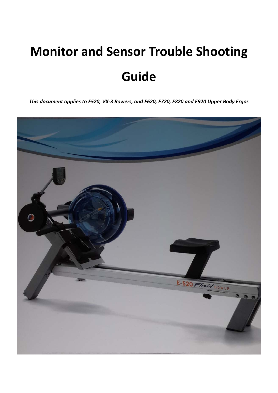# **Monitor and Sensor Trouble Shooting Guide**

*This document applies to E520, VX‐3 Rowers, and E620, E720, E820 and E920 Upper Body Ergos*

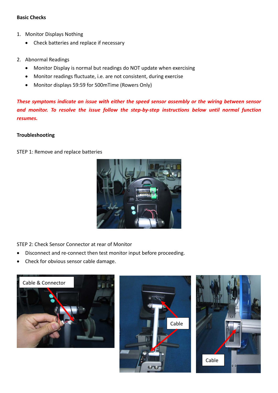#### **Basic Checks**

- 1. Monitor Displays Nothing
	- Check batteries and replace if necessary
- 2. Abnormal Readings
	- Monitor Display is normal but readings do NOT update when exercising
	- Monitor readings fluctuate, i.e. are not consistent, during exercise
	- Monitor displays 59:59 for 500mTime (Rowers Only)

*These symptoms indicate an issue with either the speed sensor assembly or the wiring between sensor and monitor. To resolve the issue follow the step‐by‐step instructions below until normal function resumes.*

#### **Troubleshooting**

STEP 1: Remove and replace batteries



STEP 2: Check Sensor Connector at rear of Monitor

- Disconnect and re‐connect then test monitor input before proceeding.
- Check for obvious sensor cable damage.





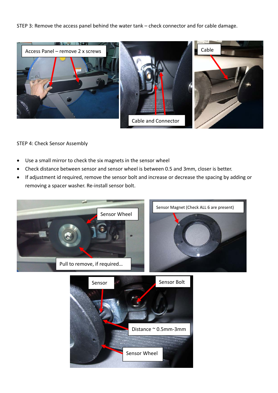STEP 3: Remove the access panel behind the water tank – check connector and for cable damage.



#### STEP 4: Check Sensor Assembly

- Use a small mirror to check the six magnets in the sensor wheel
- Check distance between sensor and sensor wheel is between 0.5 and 3mm, closer is better.
- If adjustment id required, remove the sensor bolt and increase or decrease the spacing by adding or removing a spacer washer. Re‐install sensor bolt.



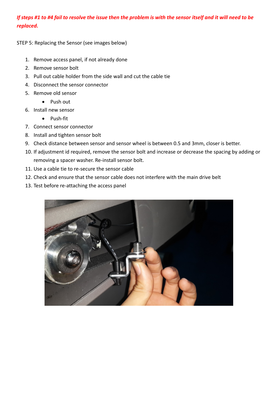## If steps #1 to #4 fail to resolve the issue then the problem is with the sensor itself and it will need to be *replaced.*

STEP 5: Replacing the Sensor (see images below)

- 1. Remove access panel, if not already done
- 2. Remove sensor bolt
- 3. Pull out cable holder from the side wall and cut the cable tie
- 4. Disconnect the sensor connector
- 5. Remove old sensor
	- Push out
- 6. Install new sensor
	- Push-fit
- 7. Connect sensor connector
- 8. Install and tighten sensor bolt
- 9. Check distance between sensor and sensor wheel is between 0.5 and 3mm, closer is better.
- 10. If adjustment id required, remove the sensor bolt and increase or decrease the spacing by adding or removing a spacer washer. Re‐install sensor bolt.
- 11. Use a cable tie to re‐secure the sensor cable
- 12. Check and ensure that the sensor cable does not interfere with the main drive belt
- 13. Test before re-attaching the access panel

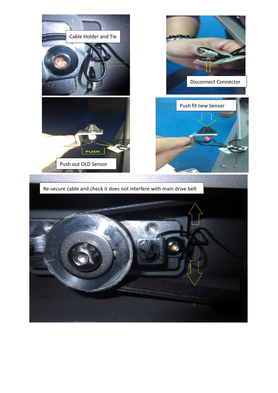